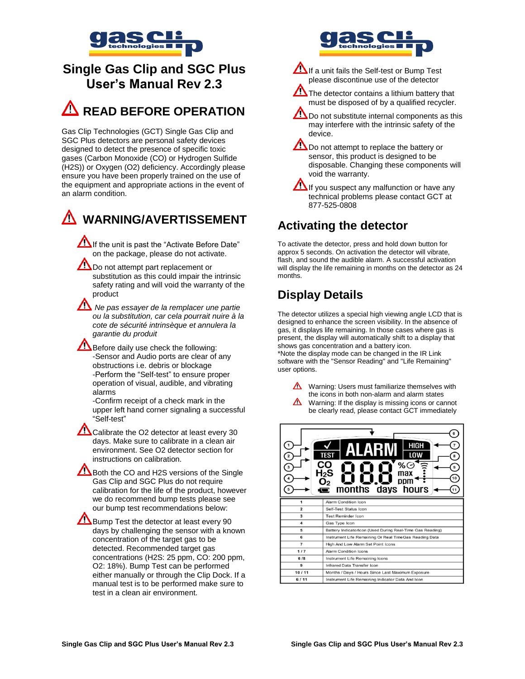

# **Single Gas Clip and SGC Plus User's Manual Rev 2.3**

# **READ BEFORE OPERATION**

Gas Clip Technologies (GCT) Single Gas Clip and SGC Plus detectors are personal safety devices designed to detect the presence of specific toxic gases (Carbon Monoxide (CO) or Hydrogen Sulfide (H2S)) or Oxygen (O2) deficiency. Accordingly please ensure you have been properly trained on the use of the equipment and appropriate actions in the event of an alarm condition.



If the unit is past the "Activate Before Date" on the package, please do not activate.

- Do not attempt part replacement or substitution as this could impair the intrinsic safety rating and will void the warranty of the product
- *Ne pas essayer de la remplacer une partie ou la substitution, car cela pourrait nuire à la cote de sécurité intrinsèque et annulera la garantie du produit*

Before daily use check the following: -Sensor and Audio ports are clear of any obstructions i.e. debris or blockage -Perform the "Self-test" to ensure proper operation of visual, audible, and vibrating alarms

-Confirm receipt of a check mark in the upper left hand corner signaling a successful "Self-test"

Calibrate the O2 detector at least every 30 days. Make sure to calibrate in a clean air environment. See O2 detector section for instructions on calibration.

Both the CO and H2S versions of the Single Gas Clip and SGC Plus do not require calibration for the life of the product, however we do recommend bump tests please see our bump test recommendations below:

Bump Test the detector at least every 90 days by challenging the sensor with a known concentration of the target gas to be detected. Recommended target gas concentrations (H2S: 25 ppm, CO: 200 ppm, O2: 18%). Bump Test can be performed either manually or through the Clip Dock. If a manual test is to be performed make sure to test in a clean air environment.



If a unit fails the Self-test or Bump Test please discontinue use of the detector

The detector contains a lithium battery that must be disposed of by a qualified recycler.

Do not substitute internal components as this may interfere with the intrinsic safety of the device.

Do not attempt to replace the battery or sensor, this product is designed to be disposable. Changing these components will void the warranty.

 $\sum$  If you suspect any malfunction or have any technical problems please contact GCT at 877-525-0808

# **Activating the detector**

To activate the detector, press and hold down button for approx 5 seconds. On activation the detector will vibrate, flash, and sound the audible alarm. A successful activation will display the life remaining in months on the detector as 24 months.

# **Display Details**

The detector utilizes a special high viewing angle LCD that is designed to enhance the screen visibility. In the absence of gas, it displays life remaining. In those cases where gas is present, the display will automatically shift to a display that shows gas concentration and a battery icon. \*Note the display mode can be changed in the IR Link software with the "Sensor Reading" and "Life Remaining" user options.



 $\triangle$  Warning: Users must familiarize themselves with the icons in both non-alarm and alarm states Warning: If the display is missing icons or cannot be clearly read, please contact GCT immediately

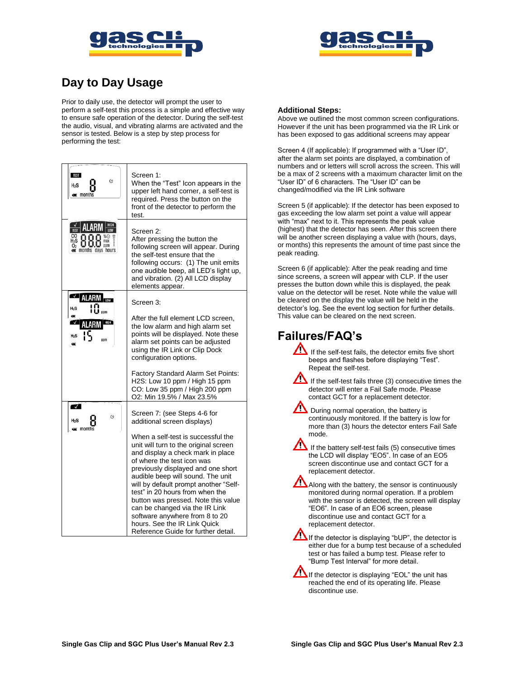



# **Day to Day Usage**

Prior to daily use, the detector will prompt the user to perform a self-test this process is a simple and effective way to ensure safe operation of the detector. During the self-test the audio, visual, and vibrating alarms are activated and the sensor is tested. Below is a step by step process for performing the test:

| <b>TEST</b><br>O<br>$H_2S$<br>$\equiv$ months             | Screen 1:<br>When the "Test" Icon appears in the<br>upper left hand corner, a self-test is<br>required. Press the button on the<br>front of the detector to perform the<br>test.                                                                                                                                                                                                                                                                                                        |
|-----------------------------------------------------------|-----------------------------------------------------------------------------------------------------------------------------------------------------------------------------------------------------------------------------------------------------------------------------------------------------------------------------------------------------------------------------------------------------------------------------------------------------------------------------------------|
| HIGH<br>AI ARM<br>max<br>$\n  ppm\n$<br>months days hours | Screen 2:<br>After pressing the button the<br>following screen will appear. During<br>the self-test ensure that the<br>following occurs: (1) The unit emits<br>one audible beep, all LED's light up,<br>and vibration. (2) All LCD display<br>elements appear.                                                                                                                                                                                                                          |
| <b>ALARM</b><br>$H_2S$                                    | Screen 3:                                                                                                                                                                                                                                                                                                                                                                                                                                                                               |
| $_{\rm H_2S}$<br>ppm                                      | After the full element LCD screen,<br>the low alarm and high alarm set<br>points will be displayed. Note these<br>alarm set points can be adjusted<br>using the IR Link or Clip Dock<br>configuration options.                                                                                                                                                                                                                                                                          |
|                                                           | Factory Standard Alarm Set Points:<br>H2S: Low 10 ppm / High 15 ppm<br>CO: Low 35 ppm / High 200 ppm<br>O2: Min 19.5% / Max 23.5%                                                                                                                                                                                                                                                                                                                                                       |
| $\overline{J}$<br>Ó                                       | Screen 7: (see Steps 4-6 for<br>additional screen displays)                                                                                                                                                                                                                                                                                                                                                                                                                             |
| $\equiv$ month:                                           | When a self-test is successful the<br>unit will turn to the original screen<br>and display a check mark in place<br>of where the test icon was<br>previously displayed and one short<br>audible beep will sound. The unit<br>will by default prompt another "Self-<br>test" in 20 hours from when the<br>button was pressed. Note this value<br>can be changed via the IR Link<br>software anywhere from 8 to 20<br>hours. See the IR Link Quick<br>Reference Guide for further detail. |

#### **Additional Steps:**

Above we outlined the most common screen configurations. However if the unit has been programmed via the IR Link or has been exposed to gas additional screens may appear

Screen 4 (If applicable): If programmed with a "User ID", after the alarm set points are displayed, a combination of numbers and or letters will scroll across the screen. This will be a max of 2 screens with a maximum character limit on the "User ID" of 6 characters. The "User ID" can be changed/modified via the IR Link software

Screen 5 (if applicable): If the detector has been exposed to gas exceeding the low alarm set point a value will appear with "max" next to it. This represents the peak value (highest) that the detector has seen. After this screen there will be another screen displaying a value with (hours, days, or months) this represents the amount of time past since the peak reading.

Screen 6 (if applicable): After the peak reading and time since screens, a screen will appear with CLP. If the user presses the button down while this is displayed, the peak value on the detector will be reset. Note while the value will be cleared on the display the value will be held in the detector's log. See the event log section for further details. This value can be cleared on the next screen.

### **Failures/FAQ's**

- If the self-test fails, the detector emits five short beeps and flashes before displaying "Test". Repeat the self-test.
- ΛŊ If the self-test fails three  $(3)$  consecutive times the detector will enter a Fail Safe mode. Please contact GCT for a replacement detector.
- During normal operation, the battery is continuously monitored. If the battery is low for more than (3) hours the detector enters Fail Safe mode.
- /! If the battery self-test fails  $(5)$  consecutive times the LCD will display "EO5". In case of an EO5 screen discontinue use and contact GCT for a replacement detector.
- ⁄∖ Along with the battery, the sensor is continuously monitored during normal operation. If a problem with the sensor is detected, the screen will display "EO6". In case of an EO6 screen, please discontinue use and contact GCT for a replacement detector.

If the detector is displaying "bUP", the detector is either due for a bump test because of a scheduled test or has failed a bump test. Please refer to "Bump Test Interval" for more detail.

If the detector is displaying "EOL" the unit has reached the end of its operating life. Please discontinue use.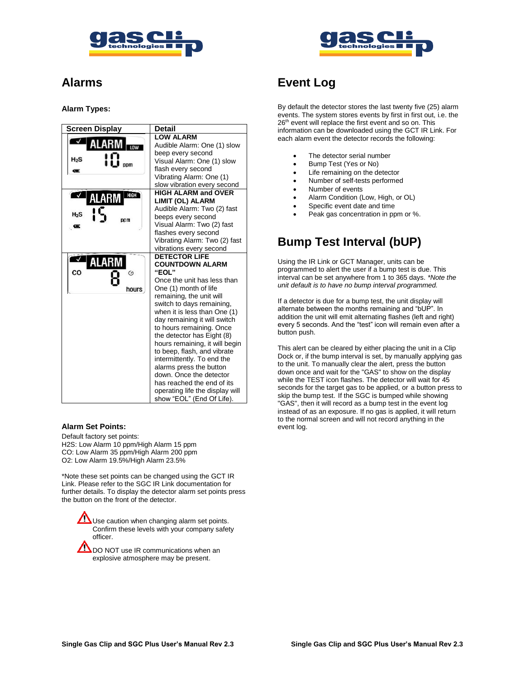



### **Alarms**

#### **Alarm Types:**

| <b>Screen Display</b> | <b>Detail</b>                                  |
|-----------------------|------------------------------------------------|
|                       | <b>LOW ALARM</b>                               |
| LOW                   | Audible Alarm: One (1) slow                    |
|                       | beep every second                              |
| $H_2S$<br>ppm         | Visual Alarm: One (1) slow                     |
|                       | flash every second                             |
|                       | Vibrating Alarm: One (1)                       |
|                       | slow vibration every second                    |
| <b>HIGH</b><br>ALARM  | <b>HIGH ALARM and OVER</b>                     |
|                       | LIMIT (OL) ALARM                               |
| $H_2S$                | Audible Alarm: Two (2) fast                    |
| DDM                   | beeps every second                             |
| ▭                     | Visual Alarm: Two (2) fast                     |
|                       | flashes every second                           |
|                       | Vibrating Alarm: Two (2) fast                  |
|                       | vibrations every second                        |
| ALARM                 | <b>DETECTOR LIFE</b><br><b>COUNTDOWN ALARM</b> |
| CO<br>$\odot$         | "EOL"                                          |
|                       | Once the unit has less than                    |
| hours                 | One (1) month of life                          |
|                       | remaining, the unit will                       |
|                       | switch to days remaining,                      |
|                       | when it is less than One (1)                   |
|                       | day remaining it will switch                   |
|                       | to hours remaining. Once                       |
|                       | the detector has Eight (8)                     |
|                       | hours remaining, it will begin                 |
|                       | to beep, flash, and vibrate                    |
|                       | intermittently. To end the                     |
|                       | alarms press the button                        |
|                       | down. Once the detector                        |
|                       | has reached the end of its                     |
|                       | operating life the display will                |
|                       | show "EOL" (End Of Life).                      |

#### **Alarm Set Points:**

Default factory set points: H2S: Low Alarm 10 ppm/High Alarm 15 ppm CO: Low Alarm 35 ppm/High Alarm 200 ppm O2: Low Alarm 19.5%/High Alarm 23.5%

\*Note these set points can be changed using the GCT IR Link. Please refer to the SGC IR Link documentation for further details. To display the detector alarm set points press the button on the front of the detector.

 $\sum$  Use caution when changing alarm set points. Confirm these levels with your company safety officer.

**DO NOT use IR communications when an** explosive atmosphere may be present.

### **Event Log**

By default the detector stores the last twenty five (25) alarm events. The system stores events by first in first out, i.e. the 26<sup>th</sup> event will replace the first event and so on. This information can be downloaded using the GCT IR Link. For each alarm event the detector records the following:

- The detector serial number
- Bump Test (Yes or No)
- Life remaining on the detector
- Number of self-tests performed
- Number of events
- Alarm Condition (Low, High, or OL)
- Specific event date and time
- Peak gas concentration in ppm or %.

### **Bump Test Interval (bUP)**

Using the IR Link or GCT Manager, units can be programmed to alert the user if a bump test is due. This interval can be set anywhere from 1 to 365 days. *\*Note the unit default is to have no bump interval programmed.*

If a detector is due for a bump test, the unit display will alternate between the months remaining and "bUP". In addition the unit will emit alternating flashes (left and right) every 5 seconds. And the "test" icon will remain even after a button push.

This alert can be cleared by either placing the unit in a Clip Dock or, if the bump interval is set, by manually applying gas to the unit. To manually clear the alert, press the button down once and wait for the "GAS" to show on the display while the TEST icon flashes. The detector will wait for 45 seconds for the target gas to be applied, or a button press to skip the bump test. If the SGC is bumped while showing "GAS", then it will record as a bump test in the event log instead of as an exposure. If no gas is applied, it will return to the normal screen and will not record anything in the event log.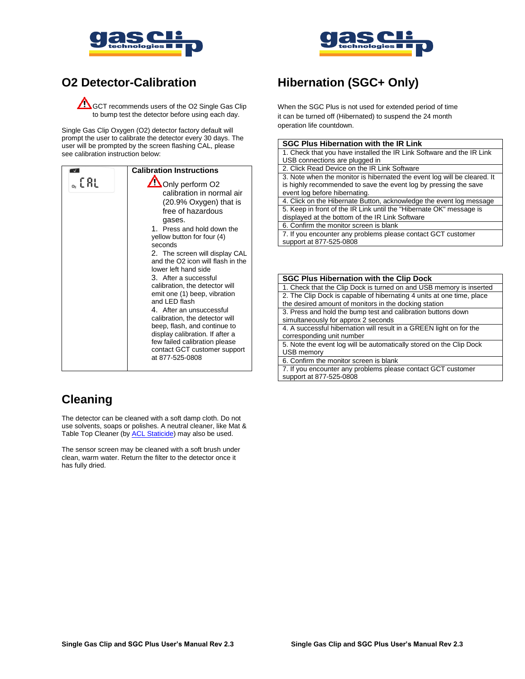



### **O2 Detector-Calibration**

**ACCT** recommends users of the O2 Single Gas Clip to bump test the detector before using each day.

Single Gas Clip Oxygen (O2) detector factory default will prompt the user to calibrate the detector every 30 days. The user will be prompted by the screen flashing CAL, please see calibration instruction below:

|      | <b>Calibration Instructions</b>                                                                                                                                                                                                                                                                                                                                                                                                                                                                                                                                                                              |
|------|--------------------------------------------------------------------------------------------------------------------------------------------------------------------------------------------------------------------------------------------------------------------------------------------------------------------------------------------------------------------------------------------------------------------------------------------------------------------------------------------------------------------------------------------------------------------------------------------------------------|
| 。[RL | Only perform O2<br>calibration in normal air<br>(20.9% Oxygen) that is<br>free of hazardous<br>gases.<br>1. Press and hold down the<br>yellow button for four (4)<br>seconds<br>2. The screen will display CAL<br>and the O2 icon will flash in the<br>lower left hand side<br>3. After a successful<br>calibration, the detector will<br>emit one (1) beep, vibration<br>and LED flash<br>4. After an unsuccessful<br>calibration, the detector will<br>beep, flash, and continue to<br>display calibration. If after a<br>few failed calibration please<br>contact GCT customer support<br>at 877-525-0808 |
|      |                                                                                                                                                                                                                                                                                                                                                                                                                                                                                                                                                                                                              |

# **Hibernation (SGC+ Only)**

When the SGC Plus is not used for extended period of time it can be turned off (Hibernated) to suspend the 24 month operation life countdown.

| <b>SGC Plus Hibernation with the IR Link</b>                             |
|--------------------------------------------------------------------------|
| 1. Check that you have installed the IR Link Software and the IR Link    |
| USB connections are plugged in                                           |
| 2. Click Read Device on the IR Link Software                             |
| 3. Note when the monitor is hibernated the event log will be cleared. It |
| is highly recommended to save the event log by pressing the save         |
| event log before hibernating.                                            |
| A Click on the Hibernate Button, acknowledge the event log message       |

4. Click on the Hibernate Button, acknowledge the event log message 5. Keep in front of the IR Link until the "Hibernate OK" message is displayed at the bottom of the IR Link Software

6. Confirm the monitor screen is blank

7. If you encounter any problems please contact GCT customer support at 877-525-0808

| <b>SGC Plus Hibernation with the Clip Dock</b>                                                                                 |
|--------------------------------------------------------------------------------------------------------------------------------|
| 1. Check that the Clip Dock is turned on and USB memory is inserted                                                            |
| 2. The Clip Dock is capable of hibernating 4 units at one time, place<br>the desired amount of monitors in the docking station |
|                                                                                                                                |
| 3. Press and hold the bump test and calibration buttons down                                                                   |
| simultaneously for approx 2 seconds                                                                                            |
| 4. A successful hibernation will result in a GREEN light on for the                                                            |
| corresponding unit number                                                                                                      |
| 5. Note the event log will be automatically stored on the Clip Dock                                                            |
| USB memory                                                                                                                     |
| 6. Confirm the monitor screen is blank                                                                                         |
| 7. If you encounter any problems please contact GCT customer                                                                   |
| support at 877-525-0808                                                                                                        |

# **Cleaning**

The detector can be cleaned with a soft damp cloth. Do not use solvents, soaps or polishes. A neutral cleaner, like Mat & Table Top Cleaner (by [ACL Staticide\)](http://aclstaticide.com/) may also be used.

The sensor screen may be cleaned with a soft brush under clean, warm water. Return the filter to the detector once it has fully dried.